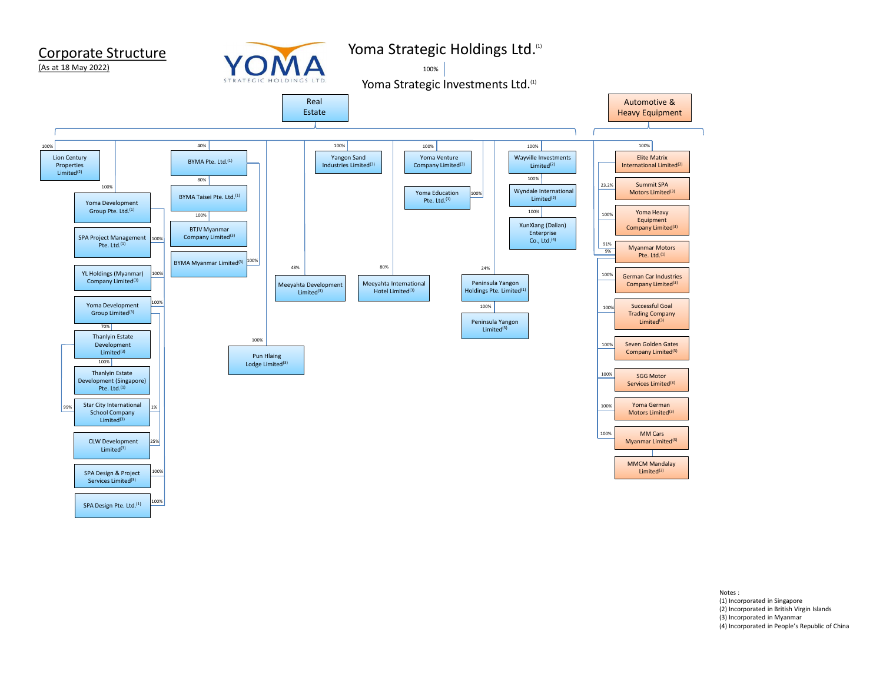

Notes :<br>(1) Incorporated in Singapore<br>(2) Incorporated in British Virgin Islands<br>(3) Incorporated in Myanmar<br>(4) Incorporated in People's Republic of China<br>Incorporated in People's Republic of China Notes :<br>(1) Incorporated in Singapore<br>(2) Incorporated in British Virgin Islands<br>(3) Incorporated in People's Republic of China<br>(4) Incorporated in People's Republic of China Notes :<br>(1) Incorporated in Singapore<br>(2) Incorporated in British Virgin Islands<br>(3) Incorporated in Myanmar<br>(4) Incorporated in People's Republic of China Notes :<br>(1) Incorporated in Singapore<br>(2) Incorporated in British Virgin Islands<br>(3) Incorporated in People's Republic of China<br>(4) Incorporated in People's Republic of China